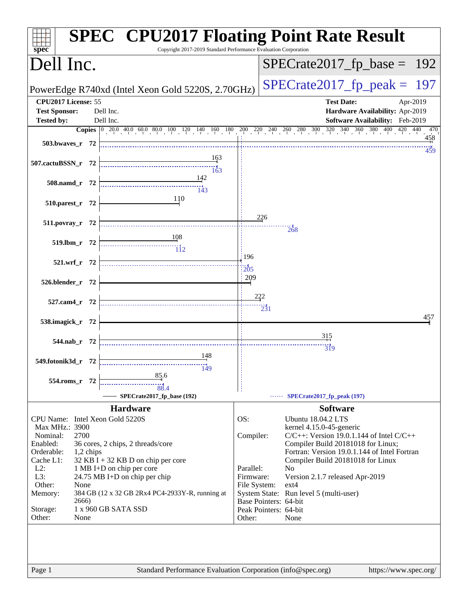| $spec^*$                   |              | <b>SPEC<sup>®</sup> CPU2017 Floating Point Rate Result</b><br>Copyright 2017-2019 Standard Performance Evaluation Corporation                                               |              |            |                                                                                     |
|----------------------------|--------------|-----------------------------------------------------------------------------------------------------------------------------------------------------------------------------|--------------|------------|-------------------------------------------------------------------------------------|
| Dell Inc.                  |              |                                                                                                                                                                             |              |            | $SPECrate2017_fp\_base = 192$                                                       |
|                            |              | PowerEdge R740xd (Intel Xeon Gold 5220S, 2.70GHz)                                                                                                                           |              |            | $SPECrate2017_fp\_peak =$<br>197                                                    |
| CPU2017 License: 55        |              |                                                                                                                                                                             |              |            | <b>Test Date:</b><br>Apr-2019                                                       |
| <b>Test Sponsor:</b>       |              | Dell Inc.                                                                                                                                                                   |              |            | Hardware Availability: Apr-2019                                                     |
| <b>Tested by:</b>          |              | Dell Inc.                                                                                                                                                                   |              |            | Software Availability: Feb-2019                                                     |
|                            |              | <b>Copies</b> $\begin{bmatrix} 0 & 20 & 0 & 40 & 0 & 60 & 80 & 100 & 120 & 140 & 160 & 180 & 200 & 220 & 240 & 260 & 280 & 300 & 320 & 340 & 360 & 380 & 400 \end{bmatrix}$ |              |            | 420 440<br>470                                                                      |
| 503.bwaves_r 72            |              |                                                                                                                                                                             |              |            | 458<br>459                                                                          |
| 507.cactuBSSN_r 72         |              | 163<br>163                                                                                                                                                                  |              |            |                                                                                     |
| 508.namd_r 72              |              | 142<br>$\frac{11}{143}$                                                                                                                                                     |              |            |                                                                                     |
| 510.parest_r 72            |              | 110                                                                                                                                                                         |              |            |                                                                                     |
| 511.povray_r 72            |              |                                                                                                                                                                             |              | 226        | 268                                                                                 |
| 519.lbm_r 72               |              | <u>108</u><br>$\overline{112}$                                                                                                                                              |              |            |                                                                                     |
|                            | 521.wrf_r 72 |                                                                                                                                                                             | 196<br>205   |            |                                                                                     |
| 526.blender_r 72           |              |                                                                                                                                                                             | 209          |            |                                                                                     |
| 527.cam4_r 72              |              |                                                                                                                                                                             |              | 222<br>231 |                                                                                     |
| 538.imagick_r 72           |              |                                                                                                                                                                             |              |            | 457                                                                                 |
| 544.nab_r 72               |              |                                                                                                                                                                             |              |            | 315<br>$\overline{319}$                                                             |
| 549.fotonik3d_r 72         |              | 148<br>149                                                                                                                                                                  |              |            |                                                                                     |
| $554$ .roms_r              | -72          | 85.6<br>88.4                                                                                                                                                                |              |            |                                                                                     |
|                            |              | SPECrate2017_fp_base (192)                                                                                                                                                  |              |            | SPECrate2017_fp_peak (197)                                                          |
|                            |              | <b>Hardware</b>                                                                                                                                                             |              |            | <b>Software</b>                                                                     |
|                            |              | CPU Name: Intel Xeon Gold 5220S                                                                                                                                             | OS:          |            | Ubuntu 18.04.2 LTS                                                                  |
| Max MHz.: 3900<br>Nominal: | 2700         |                                                                                                                                                                             |              |            | kernel 4.15.0-45-generic                                                            |
| Enabled:                   |              | 36 cores, 2 chips, 2 threads/core                                                                                                                                           | Compiler:    |            | $C/C++$ : Version 19.0.1.144 of Intel $C/C++$<br>Compiler Build 20181018 for Linux; |
| Orderable:                 | 1,2 chips    |                                                                                                                                                                             |              |            | Fortran: Version 19.0.1.144 of Intel Fortran                                        |
| Cache L1:                  |              | $32$ KB I + 32 KB D on chip per core                                                                                                                                        |              |            | Compiler Build 20181018 for Linux                                                   |
| $L2$ :                     |              | 1 MB I+D on chip per core                                                                                                                                                   | Parallel:    |            | N <sub>o</sub>                                                                      |
| L3:                        |              | 24.75 MB I+D on chip per chip                                                                                                                                               | Firmware:    |            | Version 2.1.7 released Apr-2019                                                     |
| Other:                     | None         |                                                                                                                                                                             | File System: |            | $ext{4}$                                                                            |
| Memory:                    | 2666)        | 384 GB (12 x 32 GB 2Rx4 PC4-2933Y-R, running at                                                                                                                             |              |            | System State: Run level 5 (multi-user)<br>Base Pointers: 64-bit                     |
| Storage:<br>Other:         | None         | 1 x 960 GB SATA SSD                                                                                                                                                         | Other:       |            | Peak Pointers: 64-bit<br>None                                                       |
|                            |              |                                                                                                                                                                             |              |            |                                                                                     |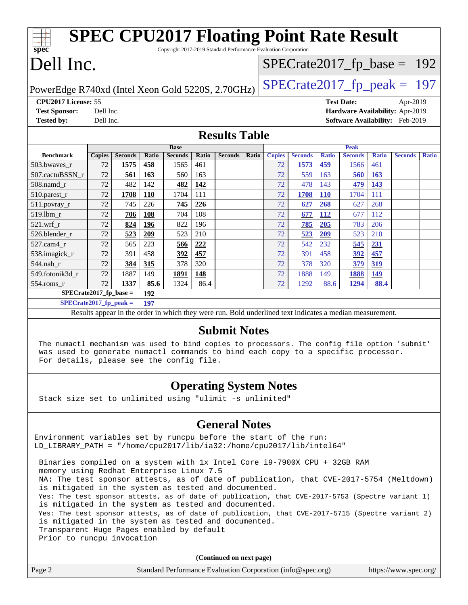| <b>SPEC CPU2017 Floating Point Rate Result</b><br>spec<br>Copyright 2017-2019 Standard Performance Evaluation Corporation |                                                      |                |            |                                                                                                          |              |                |              |               |                |              |                                        |              |                |              |
|---------------------------------------------------------------------------------------------------------------------------|------------------------------------------------------|----------------|------------|----------------------------------------------------------------------------------------------------------|--------------|----------------|--------------|---------------|----------------|--------------|----------------------------------------|--------------|----------------|--------------|
|                                                                                                                           | Dell Inc.<br>$SPECrate2017_fp\_base = 192$           |                |            |                                                                                                          |              |                |              |               |                |              |                                        |              |                |              |
| $SPECTate2017$ _fp_peak = 197<br>PowerEdge R740xd (Intel Xeon Gold 5220S, 2.70GHz)                                        |                                                      |                |            |                                                                                                          |              |                |              |               |                |              |                                        |              |                |              |
|                                                                                                                           | CPU2017 License: 55<br><b>Test Date:</b><br>Apr-2019 |                |            |                                                                                                          |              |                |              |               |                |              |                                        |              |                |              |
| <b>Test Sponsor:</b>                                                                                                      | Dell Inc.                                            |                |            |                                                                                                          |              |                |              |               |                |              | Hardware Availability: Apr-2019        |              |                |              |
| <b>Tested by:</b>                                                                                                         | Dell Inc.                                            |                |            |                                                                                                          |              |                |              |               |                |              | <b>Software Availability:</b> Feb-2019 |              |                |              |
| <b>Results Table</b>                                                                                                      |                                                      |                |            |                                                                                                          |              |                |              |               |                |              |                                        |              |                |              |
|                                                                                                                           |                                                      |                |            | <b>Base</b>                                                                                              |              |                |              |               |                |              | <b>Peak</b>                            |              |                |              |
| <b>Benchmark</b>                                                                                                          | <b>Copies</b>                                        | <b>Seconds</b> | Ratio      | <b>Seconds</b>                                                                                           | <b>Ratio</b> | <b>Seconds</b> | <b>Ratio</b> | <b>Copies</b> | <b>Seconds</b> | <b>Ratio</b> | <b>Seconds</b>                         | <b>Ratio</b> | <b>Seconds</b> | <b>Ratio</b> |
| 503.bwaves_r                                                                                                              | 72                                                   | 1575           | 458        | 1565                                                                                                     | 461          |                |              | 72            | 1573           | 459          | 1566                                   | 461          |                |              |
| 507.cactuBSSN r                                                                                                           | 72                                                   | 561            | 163        | 560                                                                                                      | 163          |                |              | 72            | 559            | 163          | 560                                    | 163          |                |              |
| 508.namd_r                                                                                                                | 72                                                   | 482            | 142        | 482                                                                                                      | 142          |                |              | 72            | 478            | 143          | 479                                    | 143          |                |              |
| 510.parest_r                                                                                                              | 72                                                   | 1708           | <b>110</b> | 1704                                                                                                     | 111          |                |              | 72            | 1708           | <b>110</b>   | 1704                                   | 111          |                |              |
| 511.povray_r                                                                                                              | 72                                                   | 745            | 226        | 745                                                                                                      | 226          |                |              | 72            | 627            | 268          | 627                                    | 268          |                |              |
| 519.lbm_r                                                                                                                 | 72                                                   | 706            | 108        | 704                                                                                                      | 108          |                |              | 72            | 677            | 112          | 677                                    | 112          |                |              |
| $521$ .wrf r                                                                                                              | 72                                                   | 824            | 196        | 822                                                                                                      | 196          |                |              | 72            | 785            | 205          | 783                                    | 206          |                |              |
| 526.blender r                                                                                                             | 72                                                   | 523            | 209        | 523                                                                                                      | 210          |                |              | 72            | 523            | 209          | 523                                    | 210          |                |              |
| 527.cam4_r                                                                                                                | 72                                                   | 565            | 223        | 566                                                                                                      | 222          |                |              | 72            | 542            | 232          | 545                                    | 231          |                |              |
| 538.imagick_r                                                                                                             | 72                                                   | 391            | 458        | 392                                                                                                      | 457          |                |              | 72            | 391            | 458          | 392                                    | 457          |                |              |
| 544.nab r                                                                                                                 | 72                                                   | 384            | 315        | 378                                                                                                      | 320          |                |              | 72            | 378            | 320          | 379                                    | 319          |                |              |
| 549.fotonik3d r                                                                                                           | 72                                                   | 1887           | 149        | 1891                                                                                                     | 148          |                |              | 72            | 1888           | 149          | 1888                                   | 149          |                |              |
| 554.roms r                                                                                                                | 72                                                   | 1337           | 85.6       | 1324                                                                                                     | 86.4         |                |              | 72            | 1292           | 88.6         | 1294                                   | 88.4         |                |              |
| $SPECrate2017_fp\_base =$                                                                                                 |                                                      |                | 192        |                                                                                                          |              |                |              |               |                |              |                                        |              |                |              |
| $SPECrate2017_fp_peak =$<br>197                                                                                           |                                                      |                |            |                                                                                                          |              |                |              |               |                |              |                                        |              |                |              |
|                                                                                                                           |                                                      |                |            | Results appear in the order in which they were run. Bold underlined text indicates a median measurement. |              |                |              |               |                |              |                                        |              |                |              |

#### **[Submit Notes](http://www.spec.org/auto/cpu2017/Docs/result-fields.html#SubmitNotes)**

 The numactl mechanism was used to bind copies to processors. The config file option 'submit' was used to generate numactl commands to bind each copy to a specific processor. For details, please see the config file.

### **[Operating System Notes](http://www.spec.org/auto/cpu2017/Docs/result-fields.html#OperatingSystemNotes)**

Stack size set to unlimited using "ulimit -s unlimited"

#### **[General Notes](http://www.spec.org/auto/cpu2017/Docs/result-fields.html#GeneralNotes)**

Environment variables set by runcpu before the start of the run: LD\_LIBRARY\_PATH = "/home/cpu2017/lib/ia32:/home/cpu2017/lib/intel64"

 Binaries compiled on a system with 1x Intel Core i9-7900X CPU + 32GB RAM memory using Redhat Enterprise Linux 7.5 NA: The test sponsor attests, as of date of publication, that CVE-2017-5754 (Meltdown) is mitigated in the system as tested and documented. Yes: The test sponsor attests, as of date of publication, that CVE-2017-5753 (Spectre variant 1) is mitigated in the system as tested and documented. Yes: The test sponsor attests, as of date of publication, that CVE-2017-5715 (Spectre variant 2) is mitigated in the system as tested and documented. Transparent Huge Pages enabled by default Prior to runcpu invocation

**(Continued on next page)**

|        | $\sqrt{2}$                                                  |                       |
|--------|-------------------------------------------------------------|-----------------------|
| Page 2 | Standard Performance Evaluation Corporation (info@spec.org) | https://www.spec.org/ |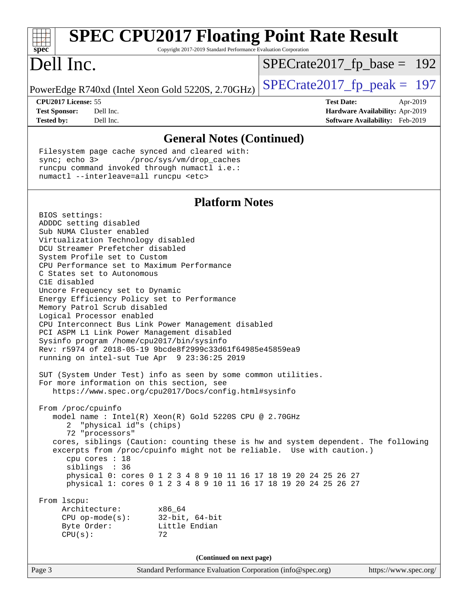| <b>SPEC CPU2017 Floating Point Rate Result</b><br>spec <sup>®</sup><br>Copyright 2017-2019 Standard Performance Evaluation Corporation<br>$SPECrate2017_fp\_base = 192$<br>$SPECrate2017_fp\_peak = 197$<br>CPU2017 License: 55<br><b>Test Date:</b><br>Apr-2019<br><b>Test Sponsor:</b><br>Dell Inc.<br><b>Hardware Availability: Apr-2019</b><br>Software Availability: Feb-2019<br><b>Tested by:</b><br>Dell Inc.<br><b>General Notes (Continued)</b><br>Filesystem page cache synced and cleared with:<br>sync; echo 3><br>/proc/sys/vm/drop_caches<br>runcpu command invoked through numactl i.e.:<br>numactl --interleave=all runcpu <etc><br/><b>Platform Notes</b><br/>BIOS settings:<br/>ADDDC setting disabled<br/>Sub NUMA Cluster enabled<br/>Virtualization Technology disabled<br/>DCU Streamer Prefetcher disabled<br/>System Profile set to Custom<br/>CPU Performance set to Maximum Performance<br/>C States set to Autonomous<br/>C1E disabled<br/>Uncore Frequency set to Dynamic<br/>Energy Efficiency Policy set to Performance<br/>Memory Patrol Scrub disabled<br/>Logical Processor enabled<br/>CPU Interconnect Bus Link Power Management disabled<br/>PCI ASPM L1 Link Power Management disabled<br/>Sysinfo program /home/cpu2017/bin/sysinfo<br/>Rev: r5974 of 2018-05-19 9bcde8f2999c33d61f64985e45859ea9<br/>running on intel-sut Tue Apr 9 23:36:25 2019<br/>SUT (System Under Test) info as seen by some common utilities.<br/>For more information on this section, see<br/>https://www.spec.org/cpu2017/Docs/config.html#sysinfo<br/>From /proc/cpuinfo<br/>model name : Intel(R) Xeon(R) Gold 5220S CPU @ 2.70GHz<br/>"physical id"s (chips)<br/>72 "processors"<br/>cores, siblings (Caution: counting these is hw and system dependent. The following<br/>excerpts from /proc/cpuinfo might not be reliable. Use with caution.)<br/>cpu cores : 18<br/>siblings : 36<br/>physical 0: cores 0 1 2 3 4 8 9 10 11 16 17 18 19 20 24 25 26 27<br/>physical 1: cores 0 1 2 3 4 8 9 10 11 16 17 18 19 20 24 25 26 27<br/>From 1scpu:<br/>Architecture:<br/>x86_64<br/><math>CPU</math> op-mode(<math>s</math>):<br/><math>32</math>-bit, <math>64</math>-bit<br/>Byte Order:<br/>Little Endian<br/>CPU(s):<br/>72<br/>(Continued on next page)<br/>Standard Performance Evaluation Corporation (info@spec.org)<br/>https://www.spec.org/<br/>Page 3</etc> |                                                   |  |  |  |  |
|-------------------------------------------------------------------------------------------------------------------------------------------------------------------------------------------------------------------------------------------------------------------------------------------------------------------------------------------------------------------------------------------------------------------------------------------------------------------------------------------------------------------------------------------------------------------------------------------------------------------------------------------------------------------------------------------------------------------------------------------------------------------------------------------------------------------------------------------------------------------------------------------------------------------------------------------------------------------------------------------------------------------------------------------------------------------------------------------------------------------------------------------------------------------------------------------------------------------------------------------------------------------------------------------------------------------------------------------------------------------------------------------------------------------------------------------------------------------------------------------------------------------------------------------------------------------------------------------------------------------------------------------------------------------------------------------------------------------------------------------------------------------------------------------------------------------------------------------------------------------------------------------------------------------------------------------------------------------------------------------------------------------------------------------------------------------------------------------------------------------------------------------------------------------------------------------------------------------------------------------------------------------------------------------------------------------------------------------------------------------------------------------|---------------------------------------------------|--|--|--|--|
|                                                                                                                                                                                                                                                                                                                                                                                                                                                                                                                                                                                                                                                                                                                                                                                                                                                                                                                                                                                                                                                                                                                                                                                                                                                                                                                                                                                                                                                                                                                                                                                                                                                                                                                                                                                                                                                                                                                                                                                                                                                                                                                                                                                                                                                                                                                                                                                           |                                                   |  |  |  |  |
|                                                                                                                                                                                                                                                                                                                                                                                                                                                                                                                                                                                                                                                                                                                                                                                                                                                                                                                                                                                                                                                                                                                                                                                                                                                                                                                                                                                                                                                                                                                                                                                                                                                                                                                                                                                                                                                                                                                                                                                                                                                                                                                                                                                                                                                                                                                                                                                           | Dell Inc.                                         |  |  |  |  |
|                                                                                                                                                                                                                                                                                                                                                                                                                                                                                                                                                                                                                                                                                                                                                                                                                                                                                                                                                                                                                                                                                                                                                                                                                                                                                                                                                                                                                                                                                                                                                                                                                                                                                                                                                                                                                                                                                                                                                                                                                                                                                                                                                                                                                                                                                                                                                                                           | PowerEdge R740xd (Intel Xeon Gold 5220S, 2.70GHz) |  |  |  |  |
|                                                                                                                                                                                                                                                                                                                                                                                                                                                                                                                                                                                                                                                                                                                                                                                                                                                                                                                                                                                                                                                                                                                                                                                                                                                                                                                                                                                                                                                                                                                                                                                                                                                                                                                                                                                                                                                                                                                                                                                                                                                                                                                                                                                                                                                                                                                                                                                           |                                                   |  |  |  |  |
|                                                                                                                                                                                                                                                                                                                                                                                                                                                                                                                                                                                                                                                                                                                                                                                                                                                                                                                                                                                                                                                                                                                                                                                                                                                                                                                                                                                                                                                                                                                                                                                                                                                                                                                                                                                                                                                                                                                                                                                                                                                                                                                                                                                                                                                                                                                                                                                           |                                                   |  |  |  |  |
|                                                                                                                                                                                                                                                                                                                                                                                                                                                                                                                                                                                                                                                                                                                                                                                                                                                                                                                                                                                                                                                                                                                                                                                                                                                                                                                                                                                                                                                                                                                                                                                                                                                                                                                                                                                                                                                                                                                                                                                                                                                                                                                                                                                                                                                                                                                                                                                           |                                                   |  |  |  |  |
|                                                                                                                                                                                                                                                                                                                                                                                                                                                                                                                                                                                                                                                                                                                                                                                                                                                                                                                                                                                                                                                                                                                                                                                                                                                                                                                                                                                                                                                                                                                                                                                                                                                                                                                                                                                                                                                                                                                                                                                                                                                                                                                                                                                                                                                                                                                                                                                           |                                                   |  |  |  |  |
|                                                                                                                                                                                                                                                                                                                                                                                                                                                                                                                                                                                                                                                                                                                                                                                                                                                                                                                                                                                                                                                                                                                                                                                                                                                                                                                                                                                                                                                                                                                                                                                                                                                                                                                                                                                                                                                                                                                                                                                                                                                                                                                                                                                                                                                                                                                                                                                           |                                                   |  |  |  |  |
|                                                                                                                                                                                                                                                                                                                                                                                                                                                                                                                                                                                                                                                                                                                                                                                                                                                                                                                                                                                                                                                                                                                                                                                                                                                                                                                                                                                                                                                                                                                                                                                                                                                                                                                                                                                                                                                                                                                                                                                                                                                                                                                                                                                                                                                                                                                                                                                           |                                                   |  |  |  |  |
|                                                                                                                                                                                                                                                                                                                                                                                                                                                                                                                                                                                                                                                                                                                                                                                                                                                                                                                                                                                                                                                                                                                                                                                                                                                                                                                                                                                                                                                                                                                                                                                                                                                                                                                                                                                                                                                                                                                                                                                                                                                                                                                                                                                                                                                                                                                                                                                           |                                                   |  |  |  |  |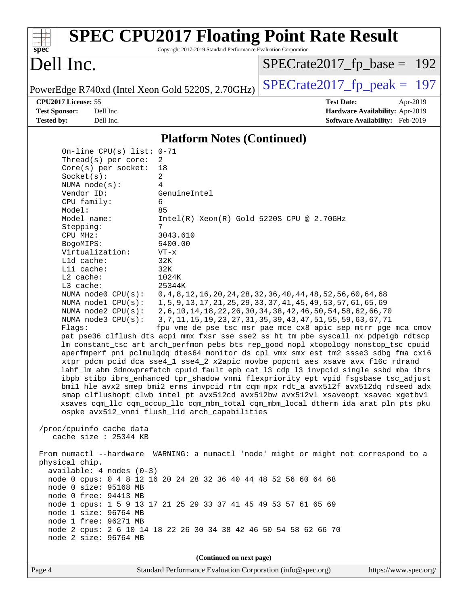| <b>SPEC CPU2017 Floating Point Rate Result</b><br>Copyright 2017-2019 Standard Performance Evaluation Corporation<br>spec <sup>®</sup>                                                                                                                                                                                                                                                                                                                                                                                                                                                                                                                                                                                                                                                                                                                                                                                                                                                                                                                                                                                                                                                                                                                                                                                                                                                                                                                                                                                                                                                                                                                                                                                                                                                                                                                                        |                                                                                                                                                                                                                                                                                                                                                             |
|-------------------------------------------------------------------------------------------------------------------------------------------------------------------------------------------------------------------------------------------------------------------------------------------------------------------------------------------------------------------------------------------------------------------------------------------------------------------------------------------------------------------------------------------------------------------------------------------------------------------------------------------------------------------------------------------------------------------------------------------------------------------------------------------------------------------------------------------------------------------------------------------------------------------------------------------------------------------------------------------------------------------------------------------------------------------------------------------------------------------------------------------------------------------------------------------------------------------------------------------------------------------------------------------------------------------------------------------------------------------------------------------------------------------------------------------------------------------------------------------------------------------------------------------------------------------------------------------------------------------------------------------------------------------------------------------------------------------------------------------------------------------------------------------------------------------------------------------------------------------------------|-------------------------------------------------------------------------------------------------------------------------------------------------------------------------------------------------------------------------------------------------------------------------------------------------------------------------------------------------------------|
| Dell Inc.                                                                                                                                                                                                                                                                                                                                                                                                                                                                                                                                                                                                                                                                                                                                                                                                                                                                                                                                                                                                                                                                                                                                                                                                                                                                                                                                                                                                                                                                                                                                                                                                                                                                                                                                                                                                                                                                     | $SPECrate2017_fp\_base = 192$                                                                                                                                                                                                                                                                                                                               |
| PowerEdge R740xd (Intel Xeon Gold 5220S, 2.70GHz)                                                                                                                                                                                                                                                                                                                                                                                                                                                                                                                                                                                                                                                                                                                                                                                                                                                                                                                                                                                                                                                                                                                                                                                                                                                                                                                                                                                                                                                                                                                                                                                                                                                                                                                                                                                                                             | $SPECrate2017fp peak = 197$                                                                                                                                                                                                                                                                                                                                 |
| CPU2017 License: 55                                                                                                                                                                                                                                                                                                                                                                                                                                                                                                                                                                                                                                                                                                                                                                                                                                                                                                                                                                                                                                                                                                                                                                                                                                                                                                                                                                                                                                                                                                                                                                                                                                                                                                                                                                                                                                                           | <b>Test Date:</b><br>Apr-2019                                                                                                                                                                                                                                                                                                                               |
| <b>Test Sponsor:</b><br>Dell Inc.<br><b>Tested by:</b><br>Dell Inc.                                                                                                                                                                                                                                                                                                                                                                                                                                                                                                                                                                                                                                                                                                                                                                                                                                                                                                                                                                                                                                                                                                                                                                                                                                                                                                                                                                                                                                                                                                                                                                                                                                                                                                                                                                                                           | Hardware Availability: Apr-2019<br>Software Availability: Feb-2019                                                                                                                                                                                                                                                                                          |
| <b>Platform Notes (Continued)</b>                                                                                                                                                                                                                                                                                                                                                                                                                                                                                                                                                                                                                                                                                                                                                                                                                                                                                                                                                                                                                                                                                                                                                                                                                                                                                                                                                                                                                                                                                                                                                                                                                                                                                                                                                                                                                                             |                                                                                                                                                                                                                                                                                                                                                             |
| On-line CPU(s) list: $0-71$<br>Thread( $s$ ) per core:<br>2<br>Core(s) per socket:<br>18<br>Socket(s):<br>2<br>NUMA $node(s)$ :<br>4<br>Vendor ID:<br>GenuineIntel<br>CPU family:<br>6<br>Model:<br>85<br>Model name:<br>$Intel(R) Xeon(R) Gold 5220S CPU @ 2.70GHz$<br>7<br>Stepping:<br>3043.610<br>CPU MHz:<br>5400.00<br>BogoMIPS:<br>Virtualization:<br>$VT - x$<br>Lld cache:<br>32K<br>Lli cache:<br>32K<br>$L2$ cache:<br>1024K<br>25344K<br>$L3$ cache:<br>NUMA node0 CPU(s):<br>NUMA $node1$ $CPU(s):$<br>NUMA $node2$ $CPU(s):$<br>NUMA $node3$ $CPU(s)$ :<br>Flags:<br>pat pse36 clflush dts acpi mmx fxsr sse sse2 ss ht tm pbe syscall nx pdpe1gb rdtscp<br>lm constant_tsc art arch_perfmon pebs bts rep_good nopl xtopology nonstop_tsc cpuid<br>aperfmperf pni pclmulqdq dtes64 monitor ds_cpl vmx smx est tm2 ssse3 sdbg fma cx16<br>xtpr pdcm pcid dca sse4_1 sse4_2 x2apic movbe popcnt aes xsave avx f16c rdrand<br>lahf_lm abm 3dnowprefetch cpuid_fault epb cat_13 cdp_13 invpcid_single ssbd mba ibrs<br>ibpb stibp ibrs_enhanced tpr_shadow vnmi flexpriority ept vpid fsgsbase tsc_adjust<br>bmil hle avx2 smep bmi2 erms invpcid rtm cqm mpx rdt_a avx512f avx512dq rdseed adx<br>smap clflushopt clwb intel_pt avx512cd avx512bw avx512vl xsaveopt xsavec xgetbvl<br>xsaves cqm_llc cqm_occup_llc cqm_mbm_total cqm_mbm_local dtherm ida arat pln pts pku<br>ospke avx512 vnni flush l1d arch capabilities<br>/proc/cpuinfo cache data<br>cache size : 25344 KB<br>From numactl --hardware WARNING: a numactl 'node' might or might not correspond to a<br>physical chip.<br>$available: 4 nodes (0-3)$<br>node 0 cpus: 0 4 8 12 16 20 24 28 32 36 40 44 48 52 56 60 64 68<br>node 0 size: 95168 MB<br>node 0 free: 94413 MB<br>node 1 cpus: 1 5 9 13 17 21 25 29 33 37 41 45 49 53 57 61 65 69<br>node 1 size: 96764 MB<br>node 1 free: 96271 MB | 0, 4, 8, 12, 16, 20, 24, 28, 32, 36, 40, 44, 48, 52, 56, 60, 64, 68<br>1, 5, 9, 13, 17, 21, 25, 29, 33, 37, 41, 45, 49, 53, 57, 61, 65, 69<br>2, 6, 10, 14, 18, 22, 26, 30, 34, 38, 42, 46, 50, 54, 58, 62, 66, 70<br>3, 7, 11, 15, 19, 23, 27, 31, 35, 39, 43, 47, 51, 55, 59, 63, 67, 71<br>fpu vme de pse tsc msr pae mce cx8 apic sep mtrr pge mca cmov |
| node 2 cpus: 2 6 10 14 18 22 26 30 34 38 42 46 50 54 58 62 66 70<br>node 2 size: 96764 MB                                                                                                                                                                                                                                                                                                                                                                                                                                                                                                                                                                                                                                                                                                                                                                                                                                                                                                                                                                                                                                                                                                                                                                                                                                                                                                                                                                                                                                                                                                                                                                                                                                                                                                                                                                                     |                                                                                                                                                                                                                                                                                                                                                             |
| (Continued on next page)                                                                                                                                                                                                                                                                                                                                                                                                                                                                                                                                                                                                                                                                                                                                                                                                                                                                                                                                                                                                                                                                                                                                                                                                                                                                                                                                                                                                                                                                                                                                                                                                                                                                                                                                                                                                                                                      |                                                                                                                                                                                                                                                                                                                                                             |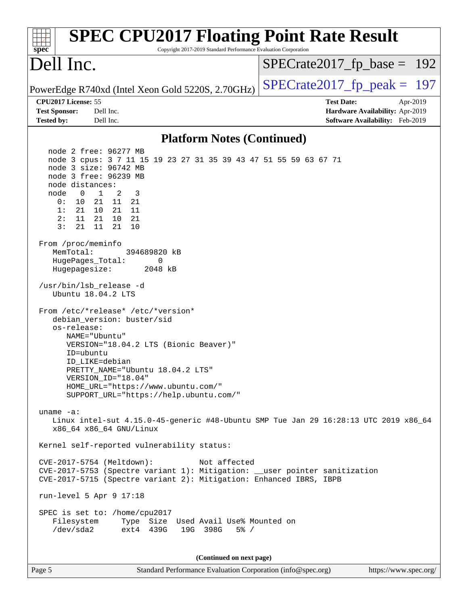| <b>SPEC CPU2017 Floating Point Rate Result</b><br>Copyright 2017-2019 Standard Performance Evaluation Corporation<br>spec <sup>®</sup>                                                                                                                                                                                                                                                                                                                                                                                                                                                                                                                                                                                                                                                                                                                                                                                                                                                                                                                                                                                                                                                                                                                                                                                                                                     |                                                                                                     |
|----------------------------------------------------------------------------------------------------------------------------------------------------------------------------------------------------------------------------------------------------------------------------------------------------------------------------------------------------------------------------------------------------------------------------------------------------------------------------------------------------------------------------------------------------------------------------------------------------------------------------------------------------------------------------------------------------------------------------------------------------------------------------------------------------------------------------------------------------------------------------------------------------------------------------------------------------------------------------------------------------------------------------------------------------------------------------------------------------------------------------------------------------------------------------------------------------------------------------------------------------------------------------------------------------------------------------------------------------------------------------|-----------------------------------------------------------------------------------------------------|
| Dell Inc.                                                                                                                                                                                                                                                                                                                                                                                                                                                                                                                                                                                                                                                                                                                                                                                                                                                                                                                                                                                                                                                                                                                                                                                                                                                                                                                                                                  | $SPECrate2017_fp\_base = 192$                                                                       |
| PowerEdge R740xd (Intel Xeon Gold 5220S, 2.70GHz)                                                                                                                                                                                                                                                                                                                                                                                                                                                                                                                                                                                                                                                                                                                                                                                                                                                                                                                                                                                                                                                                                                                                                                                                                                                                                                                          | $SPECTate2017$ _fp_peak = 197                                                                       |
| CPU2017 License: 55<br><b>Test Sponsor:</b><br>Dell Inc.<br>Dell Inc.<br><b>Tested by:</b>                                                                                                                                                                                                                                                                                                                                                                                                                                                                                                                                                                                                                                                                                                                                                                                                                                                                                                                                                                                                                                                                                                                                                                                                                                                                                 | <b>Test Date:</b><br>Apr-2019<br>Hardware Availability: Apr-2019<br>Software Availability: Feb-2019 |
| <b>Platform Notes (Continued)</b>                                                                                                                                                                                                                                                                                                                                                                                                                                                                                                                                                                                                                                                                                                                                                                                                                                                                                                                                                                                                                                                                                                                                                                                                                                                                                                                                          |                                                                                                     |
| node 2 free: 96277 MB<br>node 3 cpus: 3 7 11 15 19 23 27 31 35 39 43 47 51 55 59 63 67 71<br>node 3 size: 96742 MB<br>node 3 free: 96239 MB<br>node distances:<br>$\mathbf{1}$<br>node<br>$\overline{\phantom{0}}$<br>2<br>3<br>10<br>21 11 21<br>0 :<br>10 21 11<br>1:<br>21<br>11<br>21 10<br>21<br>2:<br>3:<br>21<br>11<br>21<br>10<br>From /proc/meminfo<br>MemTotal:<br>394689820 kB<br>HugePages_Total:<br>0<br>Hugepagesize:<br>2048 kB<br>/usr/bin/lsb_release -d<br>Ubuntu 18.04.2 LTS<br>From /etc/*release* /etc/*version*<br>debian_version: buster/sid<br>os-release:<br>NAME="Ubuntu"<br>VERSION="18.04.2 LTS (Bionic Beaver)"<br>ID=ubuntu<br>ID LIKE=debian<br>PRETTY_NAME="Ubuntu 18.04.2 LTS"<br>VERSION_ID="18.04"<br>HOME_URL="https://www.ubuntu.com/"<br>SUPPORT_URL="https://help.ubuntu.com/"<br>uname $-a$ :<br>Linux intel-sut 4.15.0-45-generic #48-Ubuntu SMP Tue Jan 29 16:28:13 UTC 2019 x86_64<br>x86_64 x86_64 GNU/Linux<br>Kernel self-reported vulnerability status:<br>CVE-2017-5754 (Meltdown):<br>Not affected<br>CVE-2017-5753 (Spectre variant 1): Mitigation: __user pointer sanitization<br>CVE-2017-5715 (Spectre variant 2): Mitigation: Enhanced IBRS, IBPB<br>run-level 5 Apr 9 17:18<br>SPEC is set to: /home/cpu2017<br>Type Size Used Avail Use% Mounted on<br>Filesystem<br>ext4 439G<br>/dev/sda2<br>19G 398G<br>$5\%$ / |                                                                                                     |
| (Continued on next page)                                                                                                                                                                                                                                                                                                                                                                                                                                                                                                                                                                                                                                                                                                                                                                                                                                                                                                                                                                                                                                                                                                                                                                                                                                                                                                                                                   |                                                                                                     |

Page 5 Standard Performance Evaluation Corporation [\(info@spec.org\)](mailto:info@spec.org) <https://www.spec.org/>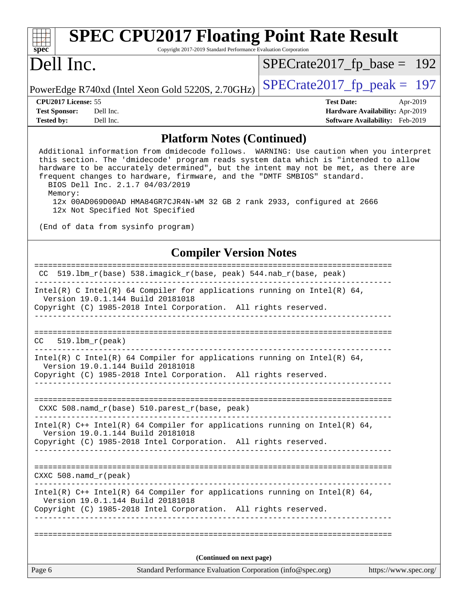| <b>SPEC CPU2017 Floating Point Rate Result</b><br>spec <sup>®</sup><br>Copyright 2017-2019 Standard Performance Evaluation Corporation                                        |                                                   |                                        |          |  |
|-------------------------------------------------------------------------------------------------------------------------------------------------------------------------------|---------------------------------------------------|----------------------------------------|----------|--|
| Dell Inc.                                                                                                                                                                     |                                                   | $SPECrate2017_fp\_base = 192$          |          |  |
|                                                                                                                                                                               | PowerEdge R740xd (Intel Xeon Gold 5220S, 2.70GHz) | $SPECrate2017_fp\_peak = 197$          |          |  |
| CPU <sub>2017</sub> License: 55                                                                                                                                               |                                                   | <b>Test Date:</b>                      | Apr-2019 |  |
| <b>Test Sponsor:</b>                                                                                                                                                          | Dell Inc.                                         | Hardware Availability: Apr-2019        |          |  |
| <b>Tested by:</b>                                                                                                                                                             | Dell Inc.                                         | <b>Software Availability:</b> Feb-2019 |          |  |
| <b>Platform Notes (Continued)</b>                                                                                                                                             |                                                   |                                        |          |  |
| Additional information from dmidecode follows. WARNING: Use caution when you interpret<br>this section. The 'dmidecode' program reads system data which is "intended to allow |                                                   |                                        |          |  |

 hardware to be accurately determined", but the intent may not be met, as there are frequent changes to hardware, firmware, and the "DMTF SMBIOS" standard. BIOS Dell Inc. 2.1.7 04/03/2019 Memory: 12x 00AD069D00AD HMA84GR7CJR4N-WM 32 GB 2 rank 2933, configured at 2666 12x Not Specified Not Specified

(End of data from sysinfo program)

## **[Compiler Version Notes](http://www.spec.org/auto/cpu2017/Docs/result-fields.html#CompilerVersionNotes)**

| Page 6                       | Standard Performance Evaluation Corporation (info@spec.org)                                                                                                                      | https://www.spec.org/ |
|------------------------------|----------------------------------------------------------------------------------------------------------------------------------------------------------------------------------|-----------------------|
|                              | (Continued on next page)                                                                                                                                                         |                       |
|                              |                                                                                                                                                                                  |                       |
|                              | Copyright (C) 1985-2018 Intel Corporation. All rights reserved.<br>______________________                                                                                        |                       |
|                              | Intel(R) $C++$ Intel(R) 64 Compiler for applications running on Intel(R) 64,<br>Version 19.0.1.144 Build 20181018                                                                |                       |
| CXXC $508$ . namd $r$ (peak) |                                                                                                                                                                                  |                       |
|                              |                                                                                                                                                                                  |                       |
|                              | Copyright (C) 1985-2018 Intel Corporation. All rights reserved.                                                                                                                  |                       |
|                              | Intel(R) $C++$ Intel(R) 64 Compiler for applications running on Intel(R) 64,<br>Version 19.0.1.144 Build 20181018                                                                |                       |
|                              |                                                                                                                                                                                  |                       |
|                              | CXXC $508.namd_r(base) 510.parest_r(base, peak)$                                                                                                                                 |                       |
|                              |                                                                                                                                                                                  |                       |
|                              | Intel(R) C Intel(R) 64 Compiler for applications running on Intel(R) 64,<br>Version 19.0.1.144 Build 20181018<br>Copyright (C) 1985-2018 Intel Corporation. All rights reserved. |                       |
| $519.1$ bm_r(peak)<br>CC.    |                                                                                                                                                                                  |                       |
|                              |                                                                                                                                                                                  |                       |
|                              |                                                                                                                                                                                  |                       |
|                              | Intel(R) C Intel(R) 64 Compiler for applications running on Intel(R) 64,<br>Version 19.0.1.144 Build 20181018<br>Copyright (C) 1985-2018 Intel Corporation. All rights reserved. |                       |
|                              |                                                                                                                                                                                  |                       |
|                              | CC 519.1bm $r(base)$ 538.imagick $r(base, peak)$ 544.nab $r(base, peak)$                                                                                                         |                       |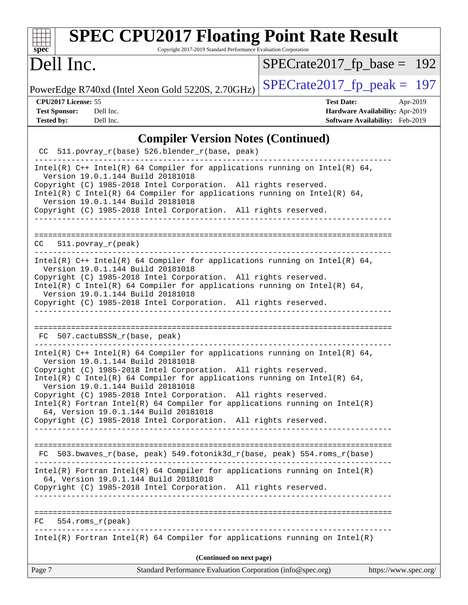| <b>SPEC CPU2017 Floating Point Rate Result</b><br>Copyright 2017-2019 Standard Performance Evaluation Corporation<br>$spec^*$                                                                                                                                                                                                                                                                                                                                                                                                                                      |                                                                                                            |
|--------------------------------------------------------------------------------------------------------------------------------------------------------------------------------------------------------------------------------------------------------------------------------------------------------------------------------------------------------------------------------------------------------------------------------------------------------------------------------------------------------------------------------------------------------------------|------------------------------------------------------------------------------------------------------------|
| Dell Inc.                                                                                                                                                                                                                                                                                                                                                                                                                                                                                                                                                          | $SPECrate2017_fp\_base = 192$                                                                              |
| PowerEdge R740xd (Intel Xeon Gold 5220S, 2.70GHz)                                                                                                                                                                                                                                                                                                                                                                                                                                                                                                                  | $SPECrate2017_fp\_peak = 197$                                                                              |
| CPU2017 License: 55<br><b>Test Sponsor:</b><br>Dell Inc.<br><b>Tested by:</b><br>Dell Inc.                                                                                                                                                                                                                                                                                                                                                                                                                                                                         | <b>Test Date:</b><br>Apr-2019<br>Hardware Availability: Apr-2019<br><b>Software Availability:</b> Feb-2019 |
| <b>Compiler Version Notes (Continued)</b>                                                                                                                                                                                                                                                                                                                                                                                                                                                                                                                          |                                                                                                            |
| CC 511.povray_r(base) 526.blender_r(base, peak)                                                                                                                                                                                                                                                                                                                                                                                                                                                                                                                    |                                                                                                            |
| Intel(R) $C++$ Intel(R) 64 Compiler for applications running on Intel(R) 64,<br>Version 19.0.1.144 Build 20181018<br>Copyright (C) 1985-2018 Intel Corporation. All rights reserved.<br>Intel(R) C Intel(R) 64 Compiler for applications running on Intel(R) 64,<br>Version 19.0.1.144 Build 20181018<br>Copyright (C) 1985-2018 Intel Corporation. All rights reserved.                                                                                                                                                                                           |                                                                                                            |
| $511. povray_r (peak)$<br>CC.                                                                                                                                                                                                                                                                                                                                                                                                                                                                                                                                      |                                                                                                            |
| Intel(R) $C++$ Intel(R) 64 Compiler for applications running on Intel(R) 64,<br>Version 19.0.1.144 Build 20181018<br>Copyright (C) 1985-2018 Intel Corporation. All rights reserved.<br>Intel(R) C Intel(R) 64 Compiler for applications running on Intel(R) 64,<br>Version 19.0.1.144 Build 20181018<br>Copyright (C) 1985-2018 Intel Corporation. All rights reserved.<br>_________________________________                                                                                                                                                      |                                                                                                            |
| 507.cactuBSSN_r(base, peak)<br>FC.                                                                                                                                                                                                                                                                                                                                                                                                                                                                                                                                 |                                                                                                            |
| Intel(R) C++ Intel(R) 64 Compiler for applications running on Intel(R) 64,<br>Version 19.0.1.144 Build 20181018<br>Copyright (C) 1985-2018 Intel Corporation. All rights reserved.<br>Intel(R) C Intel(R) 64 Compiler for applications running on Intel(R) 64,<br>Version 19.0.1.144 Build 20181018<br>Copyright (C) 1985-2018 Intel Corporation. All rights reserved.<br>$Intel(R)$ Fortran Intel(R) 64 Compiler for applications running on Intel(R)<br>64, Version 19.0.1.144 Build 20181018<br>Copyright (C) 1985-2018 Intel Corporation. All rights reserved. |                                                                                                            |
| FC 503.bwaves_r(base, peak) 549.fotonik3d_r(base, peak) 554.roms_r(base)                                                                                                                                                                                                                                                                                                                                                                                                                                                                                           |                                                                                                            |
| $Intel(R)$ Fortran Intel(R) 64 Compiler for applications running on Intel(R)<br>64, Version 19.0.1.144 Build 20181018<br>Copyright (C) 1985-2018 Intel Corporation. All rights reserved.                                                                                                                                                                                                                                                                                                                                                                           |                                                                                                            |
| $FC$ 554.roms $r$ (peak)                                                                                                                                                                                                                                                                                                                                                                                                                                                                                                                                           |                                                                                                            |
| $Intel(R)$ Fortran Intel(R) 64 Compiler for applications running on Intel(R)                                                                                                                                                                                                                                                                                                                                                                                                                                                                                       |                                                                                                            |
| (Continued on next page)                                                                                                                                                                                                                                                                                                                                                                                                                                                                                                                                           |                                                                                                            |
| Page 7<br>Standard Performance Evaluation Corporation (info@spec.org)                                                                                                                                                                                                                                                                                                                                                                                                                                                                                              | https://www.spec.org/                                                                                      |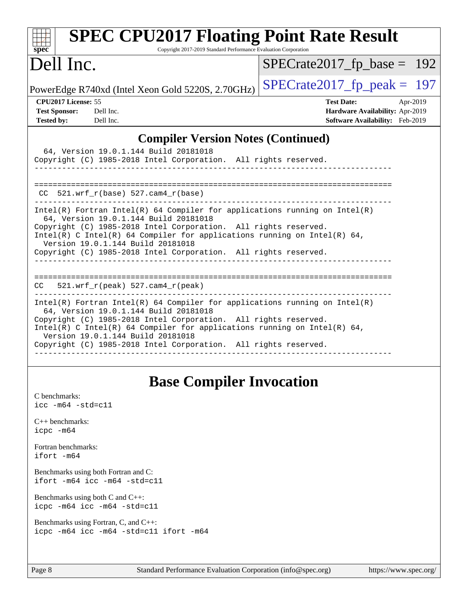| <b>SPEC CPU2017 Floating Point Rate Result</b><br>Copyright 2017-2019 Standard Performance Evaluation Corporation<br>$spec^*$                                                                                                                                                                                                                                                |                                                                                                            |  |  |  |
|------------------------------------------------------------------------------------------------------------------------------------------------------------------------------------------------------------------------------------------------------------------------------------------------------------------------------------------------------------------------------|------------------------------------------------------------------------------------------------------------|--|--|--|
| Dell Inc.                                                                                                                                                                                                                                                                                                                                                                    | $SPECrate2017_fp\_base = 192$                                                                              |  |  |  |
| PowerEdge R740xd (Intel Xeon Gold 5220S, 2.70GHz)                                                                                                                                                                                                                                                                                                                            | $SPECrate2017fr peak = 197$                                                                                |  |  |  |
| CPU2017 License: 55<br><b>Test Sponsor:</b><br>Dell Inc.<br><b>Tested by:</b><br>Dell Inc.                                                                                                                                                                                                                                                                                   | <b>Test Date:</b><br>Apr-2019<br>Hardware Availability: Apr-2019<br><b>Software Availability:</b> Feb-2019 |  |  |  |
| <b>Compiler Version Notes (Continued)</b>                                                                                                                                                                                                                                                                                                                                    |                                                                                                            |  |  |  |
| 64, Version 19.0.1.144 Build 20181018<br>Copyright (C) 1985-2018 Intel Corporation. All rights reserved.                                                                                                                                                                                                                                                                     |                                                                                                            |  |  |  |
| $CC$ 521.wrf_r(base) 527.cam4_r(base)                                                                                                                                                                                                                                                                                                                                        |                                                                                                            |  |  |  |
| Intel(R) Fortran Intel(R) 64 Compiler for applications running on Intel(R)<br>64, Version 19.0.1.144 Build 20181018<br>Copyright (C) 1985-2018 Intel Corporation. All rights reserved.<br>$Intel(R)$ C Intel(R) 64 Compiler for applications running on Intel(R) 64,<br>Version 19.0.1.144 Build 20181018<br>Copyright (C) 1985-2018 Intel Corporation. All rights reserved. |                                                                                                            |  |  |  |
| $CC = 521.wrf_r(peak) 527.cam4_r(peak)$                                                                                                                                                                                                                                                                                                                                      |                                                                                                            |  |  |  |
| Intel(R) Fortran Intel(R) 64 Compiler for applications running on Intel(R)<br>64, Version 19.0.1.144 Build 20181018<br>Copyright (C) 1985-2018 Intel Corporation. All rights reserved.<br>Intel(R) C Intel(R) 64 Compiler for applications running on Intel(R) 64,<br>Version 19.0.1.144 Build 20181018<br>Copyright (C) 1985-2018 Intel Corporation. All rights reserved.   |                                                                                                            |  |  |  |

# **[Base Compiler Invocation](http://www.spec.org/auto/cpu2017/Docs/result-fields.html#BaseCompilerInvocation)**

| C benchmarks:<br>$\text{icc -m64 -std=c11}$                                 |
|-----------------------------------------------------------------------------|
| $C_{++}$ benchmarks:<br>$icpc$ -m64                                         |
| Fortran benchmarks:<br>ifort -m64                                           |
| Benchmarks using both Fortran and C:<br>ifort $-m64$ icc $-m64$ $-std= c11$ |
| Benchmarks using both $C$ and $C_{++}$ :<br>icpc -m64 icc -m64 -std=c11     |

[Benchmarks using Fortran, C, and C++:](http://www.spec.org/auto/cpu2017/Docs/result-fields.html#BenchmarksusingFortranCandCXX) [icpc -m64](http://www.spec.org/cpu2017/results/res2019q3/cpu2017-20190708-15952.flags.html#user_CC_CXX_FCbase_intel_icpc_64bit_4ecb2543ae3f1412ef961e0650ca070fec7b7afdcd6ed48761b84423119d1bf6bdf5cad15b44d48e7256388bc77273b966e5eb805aefd121eb22e9299b2ec9d9) [icc -m64 -std=c11](http://www.spec.org/cpu2017/results/res2019q3/cpu2017-20190708-15952.flags.html#user_CC_CXX_FCbase_intel_icc_64bit_c11_33ee0cdaae7deeeab2a9725423ba97205ce30f63b9926c2519791662299b76a0318f32ddfffdc46587804de3178b4f9328c46fa7c2b0cd779d7a61945c91cd35) [ifort -m64](http://www.spec.org/cpu2017/results/res2019q3/cpu2017-20190708-15952.flags.html#user_CC_CXX_FCbase_intel_ifort_64bit_24f2bb282fbaeffd6157abe4f878425411749daecae9a33200eee2bee2fe76f3b89351d69a8130dd5949958ce389cf37ff59a95e7a40d588e8d3a57e0c3fd751)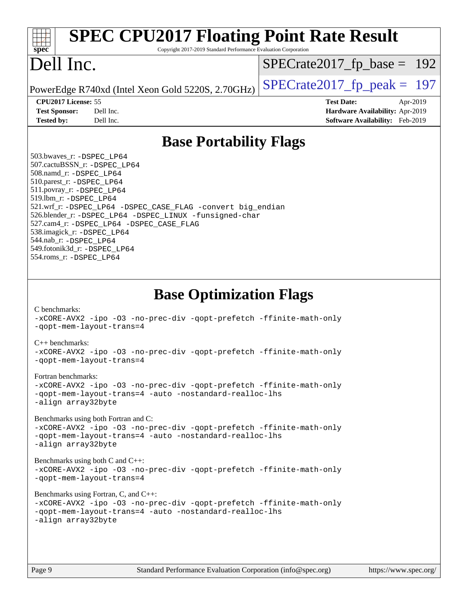| <b>SPEC CPU2017 Floating Point Rate Result</b><br>Copyright 2017-2019 Standard Performance Evaluation Corporation<br>spec <sup>®</sup>                                                                                                                                                                                                                                                                                                                                                                                                                                                                                                                                                                                                                                                                                                                                                                                                                                                                 |                                                                                                     |
|--------------------------------------------------------------------------------------------------------------------------------------------------------------------------------------------------------------------------------------------------------------------------------------------------------------------------------------------------------------------------------------------------------------------------------------------------------------------------------------------------------------------------------------------------------------------------------------------------------------------------------------------------------------------------------------------------------------------------------------------------------------------------------------------------------------------------------------------------------------------------------------------------------------------------------------------------------------------------------------------------------|-----------------------------------------------------------------------------------------------------|
| Dell Inc.                                                                                                                                                                                                                                                                                                                                                                                                                                                                                                                                                                                                                                                                                                                                                                                                                                                                                                                                                                                              | $SPECrate2017_fp\_base = 192$                                                                       |
| PowerEdge R740xd (Intel Xeon Gold 5220S, 2.70GHz)                                                                                                                                                                                                                                                                                                                                                                                                                                                                                                                                                                                                                                                                                                                                                                                                                                                                                                                                                      | $SPECTate2017$ _fp_peak = 197                                                                       |
| CPU2017 License: 55<br><b>Test Sponsor:</b><br>Dell Inc.<br>Dell Inc.<br><b>Tested by:</b>                                                                                                                                                                                                                                                                                                                                                                                                                                                                                                                                                                                                                                                                                                                                                                                                                                                                                                             | <b>Test Date:</b><br>Apr-2019<br>Hardware Availability: Apr-2019<br>Software Availability: Feb-2019 |
| <b>Base Portability Flags</b>                                                                                                                                                                                                                                                                                                                                                                                                                                                                                                                                                                                                                                                                                                                                                                                                                                                                                                                                                                          |                                                                                                     |
| 503.bwaves_r: -DSPEC LP64<br>507.cactuBSSN_r: -DSPEC_LP64<br>508.namd_r: -DSPEC_LP64<br>510.parest_r: -DSPEC_LP64<br>511.povray_r: -DSPEC_LP64<br>519.lbm_r: -DSPEC_LP64<br>521.wrf_r: -DSPEC_LP64 -DSPEC_CASE_FLAG -convert big_endian<br>526.blender_r: -DSPEC_LP64 -DSPEC_LINUX -funsigned-char<br>527.cam4_r: -DSPEC_LP64 -DSPEC_CASE_FLAG<br>538.imagick_r: -DSPEC_LP64<br>544.nab_r: -DSPEC LP64<br>549.fotonik3d_r: -DSPEC_LP64<br>554.roms_r: -DSPEC_LP64                                                                                                                                                                                                                                                                                                                                                                                                                                                                                                                                      |                                                                                                     |
| <b>Base Optimization Flags</b><br>C benchmarks:<br>-xCORE-AVX2 -ipo -03 -no-prec-div -qopt-prefetch -ffinite-math-only<br>-gopt-mem-layout-trans=4<br>$C_{++}$ benchmarks:<br>-xCORE-AVX2 -ipo -03 -no-prec-div -qopt-prefetch -ffinite-math-only<br>-gopt-mem-layout-trans=4<br>Fortran benchmarks:<br>-xCORE-AVX2 -ipo -03 -no-prec-div -qopt-prefetch -ffinite-math-only<br>-gopt-mem-layout-trans=4 -auto -nostandard-realloc-lhs<br>-align array32byte<br>Benchmarks using both Fortran and C:<br>-xCORE-AVX2 -ipo -03 -no-prec-div -qopt-prefetch -ffinite-math-only<br>-qopt-mem-layout-trans=4 -auto -nostandard-realloc-lhs<br>-align array32byte<br>Benchmarks using both $C$ and $C++$ :<br>-xCORE-AVX2 -ipo -03 -no-prec-div -qopt-prefetch -ffinite-math-only<br>-qopt-mem-layout-trans=4<br>Benchmarks using Fortran, C, and C++:<br>-xCORE-AVX2 -ipo -03 -no-prec-div -qopt-prefetch -ffinite-math-only<br>-qopt-mem-layout-trans=4 -auto -nostandard-realloc-lhs<br>-align array32byte |                                                                                                     |
| Standard Performance Evaluation Corporation (info@spec.org)<br>Page 9                                                                                                                                                                                                                                                                                                                                                                                                                                                                                                                                                                                                                                                                                                                                                                                                                                                                                                                                  | https://www.spec.org/                                                                               |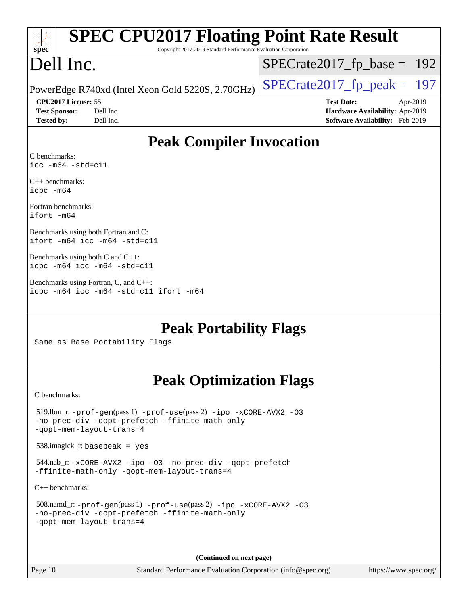| <b>SPEC CPU2017 Floating Point Rate Result</b><br>Copyright 2017-2019 Standard Performance Evaluation Corporation<br>spec                            |                                                                                                     |  |
|------------------------------------------------------------------------------------------------------------------------------------------------------|-----------------------------------------------------------------------------------------------------|--|
| Dell Inc.                                                                                                                                            | $SPECrate2017_fp\_base = 192$                                                                       |  |
| PowerEdge R740xd (Intel Xeon Gold 5220S, 2.70GHz)                                                                                                    | $SPECrate2017_fp\_peak = 197$                                                                       |  |
| CPU2017 License: 55<br>Dell Inc.<br><b>Test Sponsor:</b><br>Dell Inc.<br><b>Tested by:</b>                                                           | <b>Test Date:</b><br>Apr-2019<br>Hardware Availability: Apr-2019<br>Software Availability: Feb-2019 |  |
| <b>Peak Compiler Invocation</b>                                                                                                                      |                                                                                                     |  |
| C benchmarks:<br>$\text{icc}$ -m64 -std=c11                                                                                                          |                                                                                                     |  |
| $C_{++}$ benchmarks:<br>icpc -m64                                                                                                                    |                                                                                                     |  |
| Fortran benchmarks:<br>ifort -m64                                                                                                                    |                                                                                                     |  |
| Benchmarks using both Fortran and C:<br>ifort -m64 icc -m64 -std=c11                                                                                 |                                                                                                     |  |
| Benchmarks using both $C$ and $C_{++}$ :<br>icpc -m64 icc -m64 -std=c11                                                                              |                                                                                                     |  |
| Benchmarks using Fortran, C, and C++:<br>icpc -m64 icc -m64 -std=c11 ifort -m64                                                                      |                                                                                                     |  |
| <b>Peak Portability Flags</b>                                                                                                                        |                                                                                                     |  |
| Same as Base Portability Flags                                                                                                                       |                                                                                                     |  |
| <b>Peak Optimization Flags</b>                                                                                                                       |                                                                                                     |  |
| C benchmarks:                                                                                                                                        |                                                                                                     |  |
| $519$ .lbm_r: -prof-qen(pass 1) -prof-use(pass 2) -ipo -xCORE-AVX2 -03<br>-no-prec-div -qopt-prefetch -ffinite-math-only<br>-qopt-mem-layout-trans=4 |                                                                                                     |  |
| $538.\text{imagek}_r$ : basepeak = yes                                                                                                               |                                                                                                     |  |
| 544.nab_r:-xCORE-AVX2 -ipo -03 -no-prec-div -qopt-prefetch<br>-ffinite-math-only -qopt-mem-layout-trans=4                                            |                                                                                                     |  |
| $C++$ benchmarks:                                                                                                                                    |                                                                                                     |  |

| 508.namd_r: $-prof-gen(pass 1) -prof-use(pass 2) -ipo -xCORE-AVX2 -O3$ |  |
|------------------------------------------------------------------------|--|
| -no-prec-div -qopt-prefetch -ffinite-math-only                         |  |
| -gopt-mem-layout-trans=4                                               |  |

**(Continued on next page)**

Page 10 Standard Performance Evaluation Corporation [\(info@spec.org\)](mailto:info@spec.org) <https://www.spec.org/>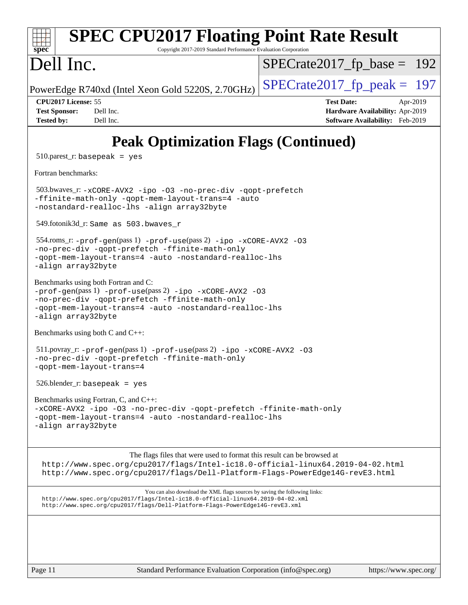| <b>SPEC CPU2017 Floating Point Rate Result</b><br>Copyright 2017-2019 Standard Performance Evaluation Corporation<br>spec <sup>®</sup>                                                                                                       |                                                                                                     |  |
|----------------------------------------------------------------------------------------------------------------------------------------------------------------------------------------------------------------------------------------------|-----------------------------------------------------------------------------------------------------|--|
| Dell Inc.                                                                                                                                                                                                                                    | $SPECrate2017_fp\_base = 192$                                                                       |  |
| PowerEdge R740xd (Intel Xeon Gold 5220S, 2.70GHz)                                                                                                                                                                                            | $SPECrate2017_fp\_peak = 197$                                                                       |  |
| CPU2017 License: 55<br><b>Test Sponsor:</b><br>Dell Inc.<br>Dell Inc.<br><b>Tested by:</b>                                                                                                                                                   | <b>Test Date:</b><br>Apr-2019<br>Hardware Availability: Apr-2019<br>Software Availability: Feb-2019 |  |
| <b>Peak Optimization Flags (Continued)</b>                                                                                                                                                                                                   |                                                                                                     |  |
| $510.parest_r: basepeak = yes$                                                                                                                                                                                                               |                                                                                                     |  |
| Fortran benchmarks:                                                                                                                                                                                                                          |                                                                                                     |  |
| 503.bwaves_r: -xCORE-AVX2 -ipo -03 -no-prec-div -qopt-prefetch<br>-ffinite-math-only -qopt-mem-layout-trans=4 -auto<br>-nostandard-realloc-lhs -align array32byte                                                                            |                                                                                                     |  |
| 549.fotonik3d_r: Same as 503.bwaves_r                                                                                                                                                                                                        |                                                                                                     |  |
| 554.roms_r: -prof-gen(pass 1) -prof-use(pass 2) -ipo -xCORE-AVX2 -03<br>-no-prec-div -qopt-prefetch -ffinite-math-only<br>-qopt-mem-layout-trans=4 -auto -nostandard-realloc-lhs<br>-align array32byte                                       |                                                                                                     |  |
| Benchmarks using both Fortran and C:<br>-prof-gen(pass 1) -prof-use(pass 2) -ipo -xCORE-AVX2 -03<br>-no-prec-div -qopt-prefetch -ffinite-math-only<br>-qopt-mem-layout-trans=4 -auto -nostandard-realloc-lhs<br>-align array32byte           |                                                                                                     |  |
| Benchmarks using both C and C++:                                                                                                                                                                                                             |                                                                                                     |  |
| $511.1$ povray_r: -prof-gen(pass 1) -prof-use(pass 2) -ipo -xCORE-AVX2 -03<br>-no-prec-div -qopt-prefetch -ffinite-math-only<br>-qopt-mem-layout-trans=4                                                                                     |                                                                                                     |  |
| $526.$ blender_r: basepeak = yes                                                                                                                                                                                                             |                                                                                                     |  |
| Benchmarks using Fortran, C, and C++:<br>-xCORE-AVX2 -ipo -03 -no-prec-div -qopt-prefetch -ffinite-math-only<br>-qopt-mem-layout-trans=4 -auto -nostandard-realloc-lhs<br>-align array32byte                                                 |                                                                                                     |  |
| The flags files that were used to format this result can be browsed at<br>http://www.spec.org/cpu2017/flags/Intel-ic18.0-official-linux64.2019-04-02.html<br>http://www.spec.org/cpu2017/flags/Dell-Platform-Flags-PowerEdge14G-revE3.html   |                                                                                                     |  |
| You can also download the XML flags sources by saving the following links:<br>http://www.spec.org/cpu2017/flags/Intel-ic18.0-official-linux64.2019-04-02.xml<br>http://www.spec.org/cpu2017/flags/Dell-Platform-Flags-PowerEdge14G-revE3.xml |                                                                                                     |  |
|                                                                                                                                                                                                                                              |                                                                                                     |  |